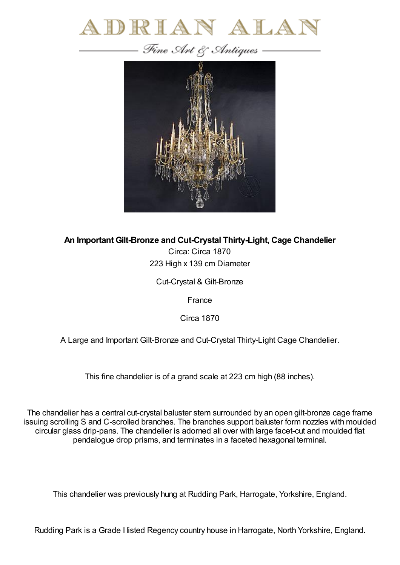



**An Important Gilt-Bronze and Cut-Crystal Thirty-Light, Cage Chandelier**

Circa: Circa 1870 223 High x 139 cm Diameter

Cut-Crystal & Gilt-Bronze

France

Circa 1870

A Large and Important Gilt-Bronze and Cut-Crystal Thirty-Light Cage Chandelier.

This fine chandelier is of a grand scale at 223 cm high (88 inches).

The chandelier has a central cut-crystal baluster stem surrounded by an open gilt-bronze cage frame issuing scrolling S and C-scrolled branches. The branches support baluster form nozzles with moulded circular glass drip-pans. The chandelier is adorned all over with large facet-cut and moulded flat pendalogue drop prisms, and terminates in a faceted hexagonal terminal.

This chandelier was previously hung at Rudding Park, Harrogate, Yorkshire, England.

Rudding Park is a Grade I listed Regency country house in Harrogate, North Yorkshire, England.